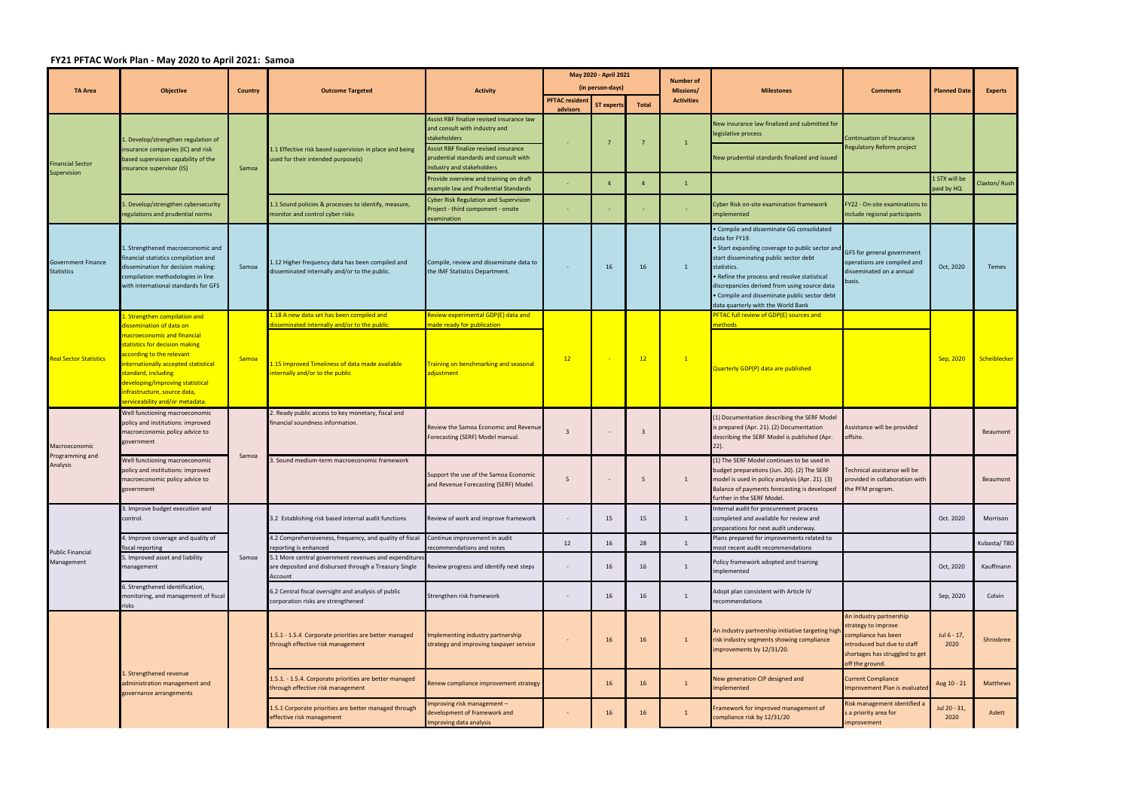## **FY21 PFTAC Work Plan ‐ May 2020 to April 2021: Samoa**

|                                                | <b>Objective</b>                                                                                                                                                                                                                                                                            |                | <b>Outcome Targeted</b>                                                                                                            | <b>Activity</b>                                                                                                                                                                                           | May 2020 - April 2021    |                |                |                               | <b>Milestones</b>                                                                                                                                                                                                                                                                                                                                           | <b>Comments</b>                                                                                                                                           | <b>Planned Date</b>         | <b>Experts</b> |
|------------------------------------------------|---------------------------------------------------------------------------------------------------------------------------------------------------------------------------------------------------------------------------------------------------------------------------------------------|----------------|------------------------------------------------------------------------------------------------------------------------------------|-----------------------------------------------------------------------------------------------------------------------------------------------------------------------------------------------------------|--------------------------|----------------|----------------|-------------------------------|-------------------------------------------------------------------------------------------------------------------------------------------------------------------------------------------------------------------------------------------------------------------------------------------------------------------------------------------------------------|-----------------------------------------------------------------------------------------------------------------------------------------------------------|-----------------------------|----------------|
| <b>TA Area</b>                                 |                                                                                                                                                                                                                                                                                             | <b>Country</b> |                                                                                                                                    |                                                                                                                                                                                                           | (in person-days)         |                |                | <b>Number of</b><br>Missions/ |                                                                                                                                                                                                                                                                                                                                                             |                                                                                                                                                           |                             |                |
|                                                |                                                                                                                                                                                                                                                                                             |                |                                                                                                                                    |                                                                                                                                                                                                           | <b>PFTAC resident</b>    | ST experts     | <b>Total</b>   | <b>Activities</b>             |                                                                                                                                                                                                                                                                                                                                                             |                                                                                                                                                           |                             |                |
| <b>Financial Sector</b><br>Supervision         | . Develop/strengthen regulation of<br>nsurance companies (IC) and risk<br>based supervision capability of the<br>insurance supervisor (IS)                                                                                                                                                  | Samoa          | 1.1 Effective risk based supervision in place and being<br>used for their intended purpose(s)                                      | Assist RBF finalize revised insurance law<br>and consult with industry and<br>stakeholders<br>Assist RBF finalize revised insurance<br>prudential standards and consult with<br>industry and stakeholders | advisors                 |                |                | $\mathbf{1}$                  | New insurance law finalized and submitted for<br>legislative process<br>New prudential standards finalized and issued                                                                                                                                                                                                                                       | Continuation of Insurance<br>Regulatory Reform project                                                                                                    |                             |                |
|                                                |                                                                                                                                                                                                                                                                                             |                |                                                                                                                                    | Provide overview and training on draft<br>example law and Prudential Standards                                                                                                                            | $\sim$                   | $\overline{4}$ | $\overline{4}$ | $\mathbf{1}$                  |                                                                                                                                                                                                                                                                                                                                                             |                                                                                                                                                           | 1 STX will be<br>paid by HQ | Claxton/ Rush  |
|                                                | . Develop/strengthen cybersecurity<br>regulations and prudential norms                                                                                                                                                                                                                      |                | 1.1 Sound policies & processes to identify, measure,<br>monitor and control cyber risks                                            | Cyber Risk Regulation and Supervision<br>Project - third component - onsite<br>examination                                                                                                                | $\sim$                   |                |                |                               | Cyber Risk on-site examination framework<br>mplemented                                                                                                                                                                                                                                                                                                      | FY22 - On-site examinations to<br>include regional participants                                                                                           |                             |                |
| <b>Government Finance</b><br><b>Statistics</b> | 1. Strengthened macroeconomic and<br>financial statistics compilation and<br>dissemination for decision making:<br>compilation methodologies in line<br>with international standards for GFS                                                                                                | Samoa          | 1.12 Higher frequency data has been compiled and<br>disseminated internally and/or to the public.                                  | Compile, review and disseminate data to<br>the IMF Statistics Department.                                                                                                                                 |                          | 16             | 16             | $\mathbf{1}$                  | Compile and disseminate GG consolidated<br>data for FY19.<br>• Start expanding coverage to public sector and<br>start disseminating public sector debt<br>statistics.<br>• Refine the process and resolve statistical<br>discrepancies derived from using source data<br>• Compile and disseminate public sector debt<br>data quarterly with the World Bank | GFS for general government<br>operations are compiled and<br>disseminated on a annual<br>basis.                                                           | Oct, 2020                   | Temes          |
|                                                | 1. Strengthen compilation and                                                                                                                                                                                                                                                               |                | 1.18 A new data set has been compiled and                                                                                          | Review experimental GDP(E) data and                                                                                                                                                                       |                          |                |                |                               | PFTAC full review of GDP(E) sources and                                                                                                                                                                                                                                                                                                                     |                                                                                                                                                           |                             |                |
| <b>Real Sector Statistics</b>                  | dissemination of data on<br>macroeconomic and financial<br>statistics for decision making<br>according to the relevant<br>nternationally accepted statistical<br>standard, including<br>developing/improving statistical<br>infrastructure, source data,<br>serviceability and/or metadata. | Samoa          | lisseminated internally and/or to the public<br>1.15 Improved Timeliness of data made available<br>internally and/or to the public | nade ready for publication<br><b>Training on benchmarking and seasonal</b><br>adjustment                                                                                                                  | 12                       |                | 12             | $\boxed{1}$                   | nethods l<br>Quarterly GDP(P) data are published                                                                                                                                                                                                                                                                                                            |                                                                                                                                                           | Sep, 2020                   | Scheiblecker   |
|                                                | Well functioning macroeconomic                                                                                                                                                                                                                                                              |                | 2. Ready public access to key monetary, fiscal and                                                                                 |                                                                                                                                                                                                           |                          |                |                |                               |                                                                                                                                                                                                                                                                                                                                                             |                                                                                                                                                           |                             |                |
| Macroeconomic<br>Programming and<br>Analysis   | policy and institutions: improved<br>macroeconomic policy advice to<br>government                                                                                                                                                                                                           | Samoa          | financial soundness information.                                                                                                   | Review the Samoa Economic and Revenue<br>Forecasting (SERF) Model manual.                                                                                                                                 | $\overline{3}$           |                | -3             |                               | (1) Documentation describing the SERF Model<br>s prepared (Apr. 21). (2) Documentation<br>describing the SERF Model is published (Apr.                                                                                                                                                                                                                      | Assistance will be provided<br>offsite.                                                                                                                   |                             | Beaumont       |
|                                                | Well functioning macroeconomic<br>policy and institutions: improved<br>macroeconomic policy advice to<br>government                                                                                                                                                                         |                | 3. Sound medium-term macroeconomic framework                                                                                       | Support the use of the Samoa Economic<br>and Revenue Forecasting (SERF) Model.                                                                                                                            | 5                        |                | 5              | 1                             | (1) The SERF Model continues to be used in<br>budget preparations (Jun. 20). (2) The SERF<br>model is used in policy analysis (Apr. 21). (3)<br>Balance of payments forecasting is developed<br>further in the SERF Model.                                                                                                                                  | Technical assistance will be<br>provided in collaboration with<br>the PFM program.                                                                        |                             | Beaumont       |
| <b>Public Financial</b><br>Management          | 1. Improve budget execution and<br>control.                                                                                                                                                                                                                                                 | Samoa          | 3.2 Establishing risk based internal audit functions                                                                               | Review of work and improve framework                                                                                                                                                                      | $\sim$                   | 15             | 15             | 1                             | Internal audit for procurement process<br>completed and available for review and<br>preparations for next audit underway.                                                                                                                                                                                                                                   |                                                                                                                                                           | Oct. 2020                   | Morrison       |
|                                                | . Improve coverage and quality of<br>fiscal reporting                                                                                                                                                                                                                                       |                | 4.2 Comprehensiveness, frequency, and quality of fiscal<br>reporting is enhanced                                                   | Continue improvement in audit<br>recommendations and notes                                                                                                                                                | 12                       | 16             | 28             | $\mathbf{1}$                  | Plans prepared for improvements related to<br>most recent audit recommendations                                                                                                                                                                                                                                                                             |                                                                                                                                                           |                             | Kubasta/TBD    |
|                                                | 5. Improved asset and liability<br>nanagement                                                                                                                                                                                                                                               |                | 5.1 More central government revenues and expenditures<br>are deposited and disbursed through a Treasury Single<br>Account          | Review progress and identify next steps                                                                                                                                                                   | $\overline{\phantom{a}}$ | 16             | 16             | $\mathbf{1}$                  | Policy framework adopted and training<br>mplemented                                                                                                                                                                                                                                                                                                         |                                                                                                                                                           | Oct, 2020                   | Kauffmann      |
|                                                | S. Strengthened identification,<br>monitoring, and management of fiscal<br>risks                                                                                                                                                                                                            |                | 5.2 Central fiscal oversight and analysis of public<br>corporation risks are strengthened                                          | Strengthen risk framework                                                                                                                                                                                 | $\sim$                   | 16             | 16             | 1                             | Adopt plan consistent with Article IV<br>recommendations                                                                                                                                                                                                                                                                                                    |                                                                                                                                                           | Sep, 2020                   | Colvin         |
|                                                | I. Strengthened revenue<br>administration management and<br>governance arrangements                                                                                                                                                                                                         |                | 1.5.1 - 1.5.4 Corporate priorities are better managed<br>through effective risk management                                         | mplementing industry partnership<br>strategy and improving taxpayer service                                                                                                                               |                          | 16             | 16             | $\mathbf{1}$                  | An industry partnership initiative targeting higl<br>risk industry segments showing compliance<br>mprovements by 12/31/20.                                                                                                                                                                                                                                  | An industry partnership<br>strategy to improve<br>compliance has been<br>introduced but due to staff<br>shortages has struggled to get<br>off the ground. | Jul 6 - 17,<br>2020         | Shrosbree      |
|                                                |                                                                                                                                                                                                                                                                                             |                | 1.5.1. - 1.5.4. Corporate priorities are better managed<br>through effective risk management                                       | Renew compliance improvement strategy                                                                                                                                                                     |                          | 16             | 16             | $\mathbf{1}$                  | <b>New generation CIP designed and</b><br>mplemented                                                                                                                                                                                                                                                                                                        | <b>Current Compliance</b><br>mprovement Plan is evaluated                                                                                                 | Aug 10 - 21                 | Matthews       |
|                                                |                                                                                                                                                                                                                                                                                             |                | 1.5.1 Corporate priorities are better managed through<br>effective risk management                                                 | mproving risk management -<br>development of framework and<br>mproving data analysis                                                                                                                      | $\overline{\phantom{a}}$ | 16             | 16             | $\mathbf{1}$                  | Framework for improved management of<br>compliance risk by 12/31/20                                                                                                                                                                                                                                                                                         | Risk management identified a<br>s a priority area for<br>mprovement                                                                                       | Jul 20 - 31,<br>2020        | Aslett         |